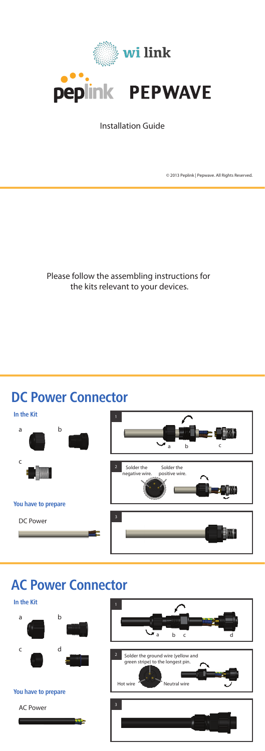Please follow the assembling instructions for the kits relevant to your devices.



Installation Guide

© 2013 Peplink | Pepwave. All Rights Reserved.





### **AC Power Connector**







## **DC Power Connector**